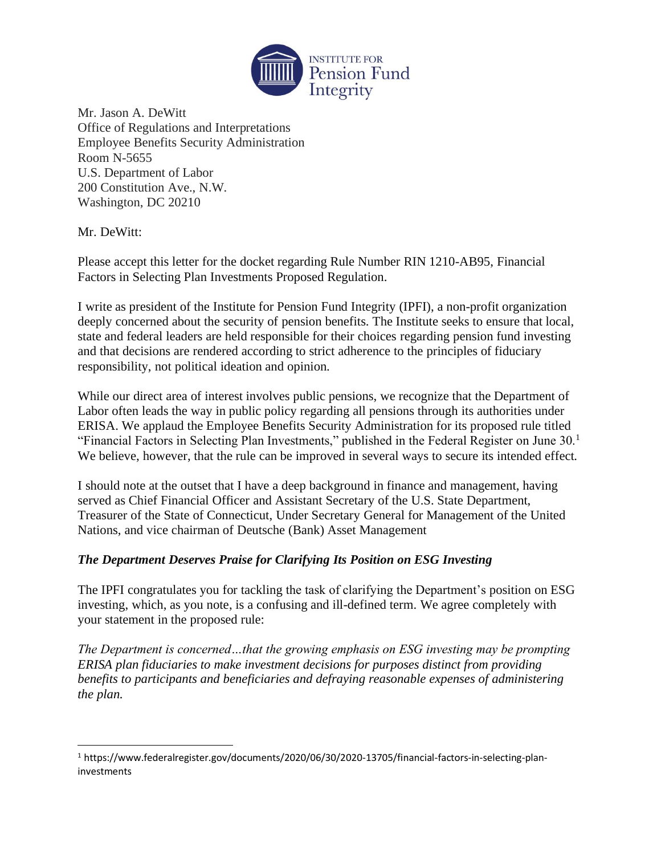

Mr. Jason A. DeWitt Office of Regulations and Interpretations Employee Benefits Security Administration Room N-5655 U.S. Department of Labor 200 Constitution Ave., N.W. Washington, DC 20210

Mr. DeWitt:

Please accept this letter for the docket regarding Rule Number RIN 1210-AB95, Financial Factors in Selecting Plan Investments Proposed Regulation.

I write as president of the Institute for Pension Fund Integrity (IPFI), a non-profit organization deeply concerned about the security of pension benefits. The Institute seeks to ensure that local, state and federal leaders are held responsible for their choices regarding pension fund investing and that decisions are rendered according to strict adherence to the principles of fiduciary responsibility, not political ideation and opinion.

While our direct area of interest involves public pensions, we recognize that the Department of Labor often leads the way in public policy regarding all pensions through its authorities under ERISA. We applaud the Employee Benefits Security Administration for its proposed rule titled "Financial Factors in Selecting Plan Investments," published in the Federal Register on June 30.<sup>1</sup> We believe, however, that the rule can be improved in several ways to secure its intended effect.

I should note at the outset that I have a deep background in finance and management, having served as Chief Financial Officer and Assistant Secretary of the U.S. State Department, Treasurer of the State of Connecticut, Under Secretary General for Management of the United Nations, and vice chairman of Deutsche (Bank) Asset Management

## *The Department Deserves Praise for Clarifying Its Position on ESG Investing*

The IPFI congratulates you for tackling the task of clarifying the Department's position on ESG investing, which, as you note, is a confusing and ill-defined term. We agree completely with your statement in the proposed rule:

*The Department is concerned…that the growing emphasis on ESG investing may be prompting ERISA plan fiduciaries to make investment decisions for purposes distinct from providing benefits to participants and beneficiaries and defraying reasonable expenses of administering the plan.* 

<sup>1</sup> [https://www.federalregister.gov/documents/2020/06/30/2020-13705/financial-factors-in-selecting-plan](https://www.federalregister.gov/documents/2020/06/30/2020-13705/financial-factors-in-selecting-plan-investments)[investments](https://www.federalregister.gov/documents/2020/06/30/2020-13705/financial-factors-in-selecting-plan-investments)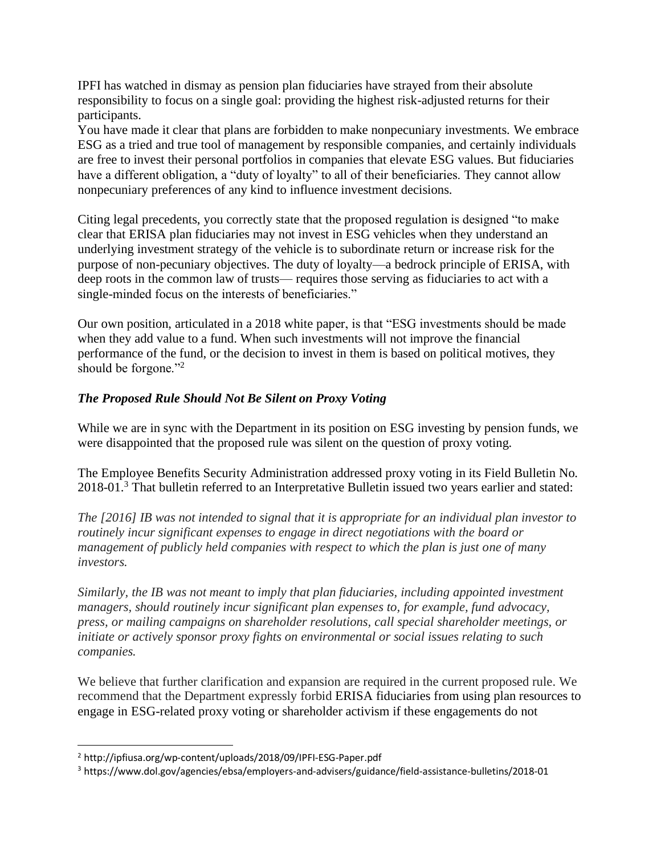IPFI has watched in dismay as pension plan fiduciaries have strayed from their absolute responsibility to focus on a single goal: providing the highest risk-adjusted returns for their participants.

You have made it clear that plans are forbidden to make nonpecuniary investments. We embrace ESG as a tried and true tool of management by responsible companies, and certainly individuals are free to invest their personal portfolios in companies that elevate ESG values. But fiduciaries have a different obligation, a "duty of loyalty" to all of their beneficiaries. They cannot allow nonpecuniary preferences of any kind to influence investment decisions.

Citing legal precedents, you correctly state that the proposed regulation is designed "to make clear that ERISA plan fiduciaries may not invest in ESG vehicles when they understand an underlying investment strategy of the vehicle is to subordinate return or increase risk for the purpose of non-pecuniary objectives. The duty of loyalty—a bedrock principle of ERISA, with deep roots in the common law of trusts— requires those serving as fiduciaries to act with a single-minded focus on the interests of beneficiaries."

Our own position, articulated in a 2018 white paper, is that "ESG investments should be made when they add value to a fund. When such investments will not improve the financial performance of the fund, or the decision to invest in them is based on political motives, they should be forgone."<sup>2</sup>

## *The Proposed Rule Should Not Be Silent on Proxy Voting*

While we are in sync with the Department in its position on ESG investing by pension funds, we were disappointed that the proposed rule was silent on the question of proxy voting.

The Employee Benefits Security Administration addressed proxy voting in its Field Bulletin No. 2018-01.<sup>3</sup> That bulletin referred to an Interpretative Bulletin issued two years earlier and stated:

*The [2016] IB was not intended to signal that it is appropriate for an individual plan investor to routinely incur significant expenses to engage in direct negotiations with the board or management of publicly held companies with respect to which the plan is just one of many investors.* 

*Similarly, the IB was not meant to imply that plan fiduciaries, including appointed investment managers, should routinely incur significant plan expenses to, for example, fund advocacy, press, or mailing campaigns on shareholder resolutions, call special shareholder meetings, or initiate or actively sponsor proxy fights on environmental or social issues relating to such companies.*

We believe that further clarification and expansion are required in the current proposed rule. We recommend that the Department expressly forbid ERISA fiduciaries from using plan resources to engage in ESG-related proxy voting or shareholder activism if these engagements do not

<sup>2</sup> <http://ipfiusa.org/wp-content/uploads/2018/09/IPFI-ESG-Paper.pdf>

<sup>3</sup> <https://www.dol.gov/agencies/ebsa/employers-and-advisers/guidance/field-assistance-bulletins/2018-01>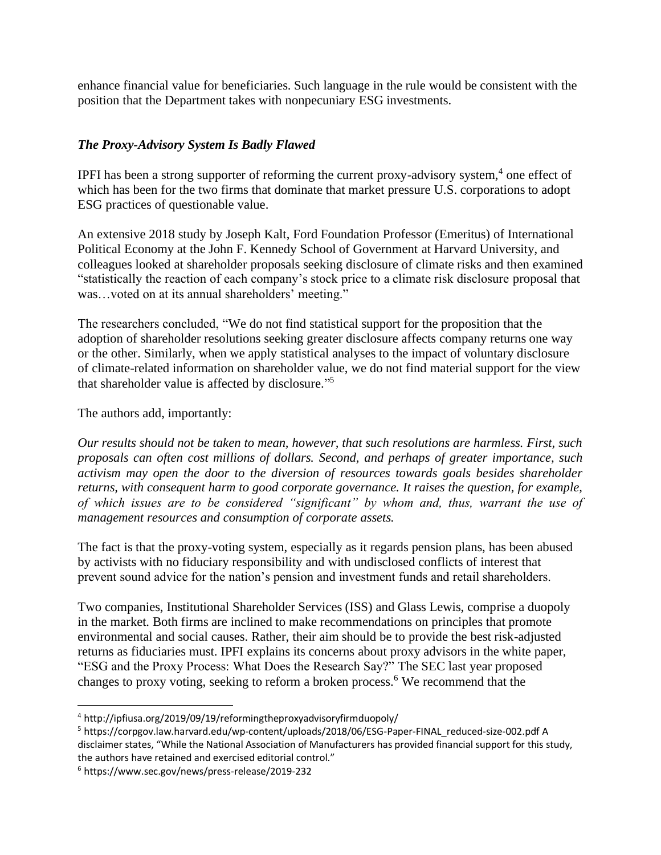enhance financial value for beneficiaries. Such language in the rule would be consistent with the position that the Department takes with nonpecuniary ESG investments.

## *The Proxy-Advisory System Is Badly Flawed*

IPFI has been a strong supporter of reforming the current proxy-advisory system, 4 one effect of which has been for the two firms that dominate that market pressure U.S. corporations to adopt ESG practices of questionable value.

An extensive 2018 study by Joseph Kalt, Ford Foundation Professor (Emeritus) of International Political Economy at the John F. Kennedy School of Government at Harvard University, and colleagues looked at shareholder proposals seeking disclosure of climate risks and then examined "statistically the reaction of each company's stock price to a climate risk disclosure proposal that was…voted on at its annual shareholders' meeting."

The researchers concluded, "We do not find statistical support for the proposition that the adoption of shareholder resolutions seeking greater disclosure affects company returns one way or the other. Similarly, when we apply statistical analyses to the impact of voluntary disclosure of climate-related information on shareholder value, we do not find material support for the view that shareholder value is affected by disclosure." 5

The authors add, importantly:

*Our results should not be taken to mean, however, that such resolutions are harmless. First, such proposals can often cost millions of dollars. Second, and perhaps of greater importance, such activism may open the door to the diversion of resources towards goals besides shareholder returns, with consequent harm to good corporate governance. It raises the question, for example, of which issues are to be considered "significant" by whom and, thus, warrant the use of management resources and consumption of corporate assets.*

The fact is that the proxy-voting system, especially as it regards pension plans, has been abused by activists with no fiduciary responsibility and with undisclosed conflicts of interest that prevent sound advice for the nation's pension and investment funds and retail shareholders.

Two companies, Institutional Shareholder Services (ISS) and Glass Lewis, comprise a duopoly in the market. Both firms are inclined to make recommendations on principles that promote environmental and social causes. Rather, their aim should be to provide the best risk-adjusted returns as fiduciaries must. IPFI explains its concerns about proxy advisors in the white paper, "ESG and the Proxy Process: What Does the Research Say?" The SEC last year proposed changes to proxy voting, seeking to reform a broken process.<sup>6</sup> We recommend that the

<sup>4</sup> <http://ipfiusa.org/2019/09/19/reformingtheproxyadvisoryfirmduopoly/>

<sup>5</sup> [https://corpgov.law.harvard.edu/wp-content/uploads/2018/06/ESG-Paper-FINAL\\_reduced-size-002.pdf](https://corpgov.law.harvard.edu/wp-content/uploads/2018/06/ESG-Paper-FINAL_reduced-size-002.pdf) A disclaimer states, "While the National Association of Manufacturers has provided financial support for this study, the authors have retained and exercised editorial control."

<sup>6</sup> <https://www.sec.gov/news/press-release/2019-232>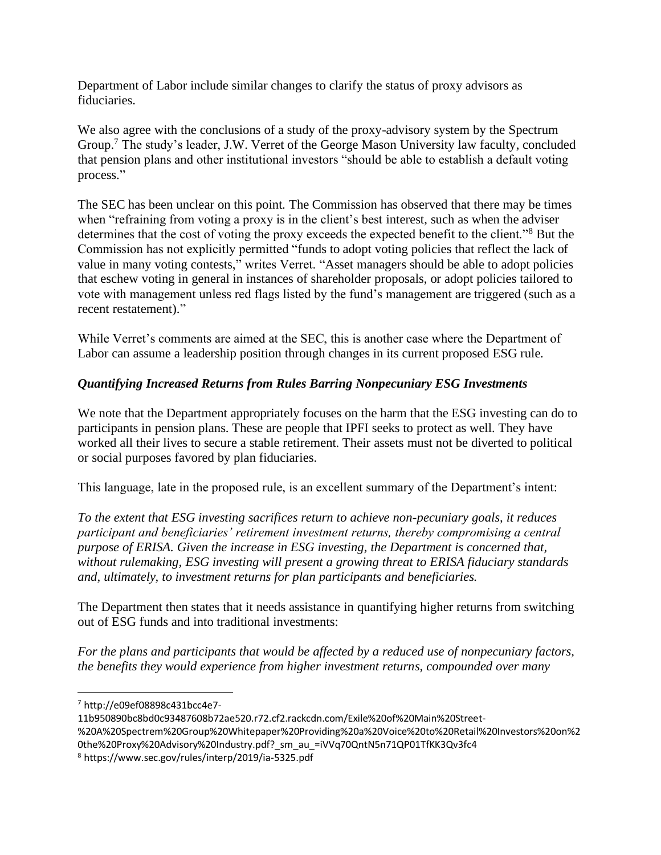Department of Labor include similar changes to clarify the status of proxy advisors as fiduciaries.

We also agree with the conclusions of a study of the proxy-advisory system by the Spectrum Group.<sup>7</sup> The study's leader, J.W. Verret of the George Mason University law faculty, concluded that pension plans and other institutional investors "should be able to establish a default voting process."

The SEC has been unclear on this point. The Commission has observed that there may be times when "refraining from voting a proxy is in the client's best interest, such as when the adviser determines that the cost of voting the proxy exceeds the expected benefit to the client."<sup>8</sup> But the Commission has not explicitly permitted "funds to adopt voting policies that reflect the lack of value in many voting contests," writes Verret. "Asset managers should be able to adopt policies that eschew voting in general in instances of shareholder proposals, or adopt policies tailored to vote with management unless red flags listed by the fund's management are triggered (such as a recent restatement)."

While Verret's comments are aimed at the SEC, this is another case where the Department of Labor can assume a leadership position through changes in its current proposed ESG rule.

## *Quantifying Increased Returns from Rules Barring Nonpecuniary ESG Investments*

We note that the Department appropriately focuses on the harm that the ESG investing can do to participants in pension plans. These are people that IPFI seeks to protect as well. They have worked all their lives to secure a stable retirement. Their assets must not be diverted to political or social purposes favored by plan fiduciaries.

This language, late in the proposed rule, is an excellent summary of the Department's intent:

*To the extent that ESG investing sacrifices return to achieve non-pecuniary goals, it reduces participant and beneficiaries' retirement investment returns, thereby compromising a central purpose of ERISA. Given the increase in ESG investing, the Department is concerned that, without rulemaking, ESG investing will present a growing threat to ERISA fiduciary standards and, ultimately, to investment returns for plan participants and beneficiaries.* 

The Department then states that it needs assistance in quantifying higher returns from switching out of ESG funds and into traditional investments:

*For the plans and participants that would be affected by a reduced use of nonpecuniary factors, the benefits they would experience from higher investment returns, compounded over many* 

<sup>7</sup> [http://e09ef08898c431bcc4e7-](http://e09ef08898c431bcc4e7-11b950890bc8bd0c93487608b72ae520.r72.cf2.rackcdn.com/Exile%20of%20Main%20Street-%20A%20Spectrem%20Group%20Whitepaper%20Providing%20a%20Voice%20to%20Retail%20Investors%20on%20the%20Proxy%20Advisory%20Industry.pdf?_sm_au_=iVVq70QntN5n71QP01TfKK3Qv3fc4)

[<sup>11</sup>b950890bc8bd0c93487608b72ae520.r72.cf2.rackcdn.com/Exile%20of%20Main%20Street-](http://e09ef08898c431bcc4e7-11b950890bc8bd0c93487608b72ae520.r72.cf2.rackcdn.com/Exile%20of%20Main%20Street-%20A%20Spectrem%20Group%20Whitepaper%20Providing%20a%20Voice%20to%20Retail%20Investors%20on%20the%20Proxy%20Advisory%20Industry.pdf?_sm_au_=iVVq70QntN5n71QP01TfKK3Qv3fc4)

[<sup>%20</sup>A%20Spectrem%20Group%20Whitepaper%20Providing%20a%20Voice%20to%20Retail%20Investors%20on%2](http://e09ef08898c431bcc4e7-11b950890bc8bd0c93487608b72ae520.r72.cf2.rackcdn.com/Exile%20of%20Main%20Street-%20A%20Spectrem%20Group%20Whitepaper%20Providing%20a%20Voice%20to%20Retail%20Investors%20on%20the%20Proxy%20Advisory%20Industry.pdf?_sm_au_=iVVq70QntN5n71QP01TfKK3Qv3fc4) 0the%20Proxy%20Advisory%20Industry.pdf? sm\_au\_=iVVq70QntN5n71QP01TfKK3Qv3fc4

<sup>8</sup> <https://www.sec.gov/rules/interp/2019/ia-5325.pdf>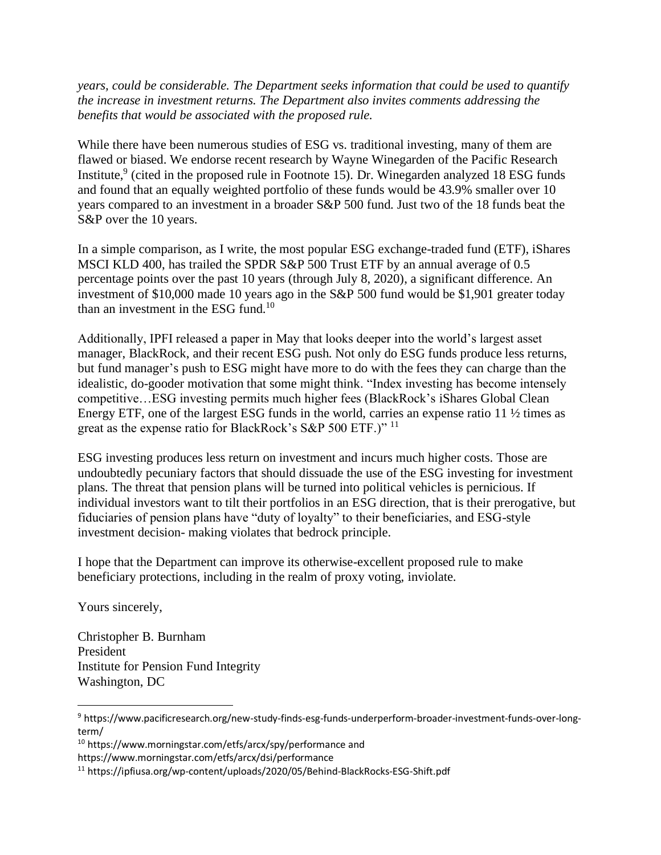*years, could be considerable. The Department seeks information that could be used to quantify the increase in investment returns. The Department also invites comments addressing the benefits that would be associated with the proposed rule.*

While there have been numerous studies of ESG vs. traditional investing, many of them are flawed or biased. We endorse recent research by Wayne Winegarden of the Pacific Research Institute,  $9$  (cited in the proposed rule in Footnote 15). Dr. Winegarden analyzed 18 ESG funds and found that an equally weighted portfolio of these funds would be 43.9% smaller over 10 years compared to an investment in a broader S&P 500 fund. Just two of the 18 funds beat the S&P over the 10 years.

In a simple comparison, as I write, the most popular ESG exchange-traded fund (ETF), iShares MSCI KLD 400, has trailed the SPDR S&P 500 Trust ETF by an annual average of 0.5 percentage points over the past 10 years (through July 8, 2020), a significant difference. An investment of \$10,000 made 10 years ago in the S&P 500 fund would be \$1,901 greater today than an investment in the ESG fund.<sup>10</sup>

Additionally, IPFI released a paper in May that looks deeper into the world's largest asset manager, BlackRock, and their recent ESG push. Not only do ESG funds produce less returns, but fund manager's push to ESG might have more to do with the fees they can charge than the idealistic, do-gooder motivation that some might think. "Index investing has become intensely competitive…ESG investing permits much higher fees (BlackRock's iShares Global Clean Energy ETF, one of the largest ESG funds in the world, carries an expense ratio 11 ½ times as great as the expense ratio for BlackRock's S&P 500 ETF.)" <sup>11</sup>

ESG investing produces less return on investment and incurs much higher costs. Those are undoubtedly pecuniary factors that should dissuade the use of the ESG investing for investment plans. The threat that pension plans will be turned into political vehicles is pernicious. If individual investors want to tilt their portfolios in an ESG direction, that is their prerogative, but fiduciaries of pension plans have "duty of loyalty" to their beneficiaries, and ESG-style investment decision- making violates that bedrock principle.

I hope that the Department can improve its otherwise-excellent proposed rule to make beneficiary protections, including in the realm of proxy voting, inviolate.

Yours sincerely,

Christopher B. Burnham President Institute for Pension Fund Integrity Washington, DC

<sup>10</sup> <https://www.morningstar.com/etfs/arcx/spy/performance> and

<https://www.morningstar.com/etfs/arcx/dsi/performance>

<sup>9</sup> [https://www.pacificresearch.org/new-study-finds-esg-funds-underperform-broader-investment-funds-over-long](https://www.pacificresearch.org/new-study-finds-esg-funds-underperform-broader-investment-funds-over-long-term/)[term/](https://www.pacificresearch.org/new-study-finds-esg-funds-underperform-broader-investment-funds-over-long-term/)

<sup>11</sup> https://ipfiusa.org/wp-content/uploads/2020/05/Behind-BlackRocks-ESG-Shift.pdf